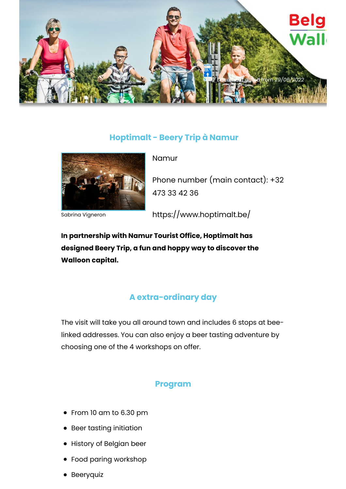

## **Hoptimalt - Beery Trip à Namur**



Sabrina Vigneron

Namur

Phone number (main contact): +32 473 33 42 36

https://www.hoptimalt.be/

**In partnership with Namur Tourist Office, Hoptimalt has designed Beery Trip, a fun and hoppy way to discover the Walloon capital.**

## **A extra-ordinary day**

The visit will take you all around town and includes 6 stops at beelinked addresses. You can also enjoy a beer tasting adventure by choosing one of the 4 workshops on offer.

## **Program**

- From 10 am to 6.30 pm
- Beer tasting initiation
- History of Belgian beer
- Food paring workshop
- **•** Beeryquiz